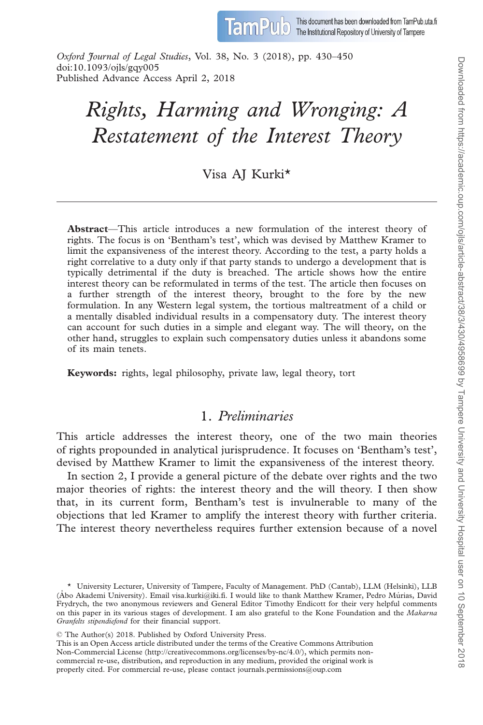

Oxford Journal of Legal Studies, Vol. 38, No. 3 (2018), pp. 430–450 doi:10.1093/ojls/gqy005 Published Advance Access April 2, 2018

# Rights, Harming and Wronging: A Restatement of the Interest Theory

# Visa AJ Kurki\*

Abstract—This article introduces a new formulation of the interest theory of rights. The focus is on 'Bentham's test', which was devised by Matthew Kramer to limit the expansiveness of the interest theory. According to the test, a party holds a right correlative to a duty only if that party stands to undergo a development that is typically detrimental if the duty is breached. The article shows how the entire interest theory can be reformulated in terms of the test. The article then focuses on a further strength of the interest theory, brought to the fore by the new formulation. In any Western legal system, the tortious maltreatment of a child or a mentally disabled individual results in a compensatory duty. The interest theory can account for such duties in a simple and elegant way. The will theory, on the other hand, struggles to explain such compensatory duties unless it abandons some of its main tenets.

Keywords: rights, legal philosophy, private law, legal theory, tort

# 1. Preliminaries

This article addresses the interest theory, one of the two main theories of rights propounded in analytical jurisprudence. It focuses on 'Bentham's test', devised by Matthew Kramer to limit the expansiveness of the interest theory.

In section 2, I provide a general picture of the debate over rights and the two major theories of rights: the interest theory and the will theory. I then show that, in its current form, Bentham's test is invulnerable to many of the objections that led Kramer to amplify the interest theory with further criteria. The interest theory nevertheless requires further extension because of a novel

© The Author(s) 2018. Published by Oxford University Press.

This is an Open Access article distributed under the terms of the Creative Commons Attribution Non-Commercial License ([http://creativecommons.org/licenses/by-nc/4.0/\)](XPath error Undefined namespace prefix), which permits noncommercial re-use, distribution, and reproduction in any medium, provided the original work is properly cited. For commercial re-use, please contact journals.permissions@oup.com

<sup>\*</sup> University Lecturer, University of Tampere, Faculty of Management. PhD (Cantab), LLM (Helsinki), LLB (Åbo Akademi University). Email visa.kurki@iki.fi. I would like to thank Matthew Kramer, Pedro Múrias, David Frydrych, the two anonymous reviewers and General Editor Timothy Endicott for their very helpful comments on this paper in its various stages of development. I am also grateful to the Kone Foundation and the Makarna Granfelts stipendiefond for their financial support.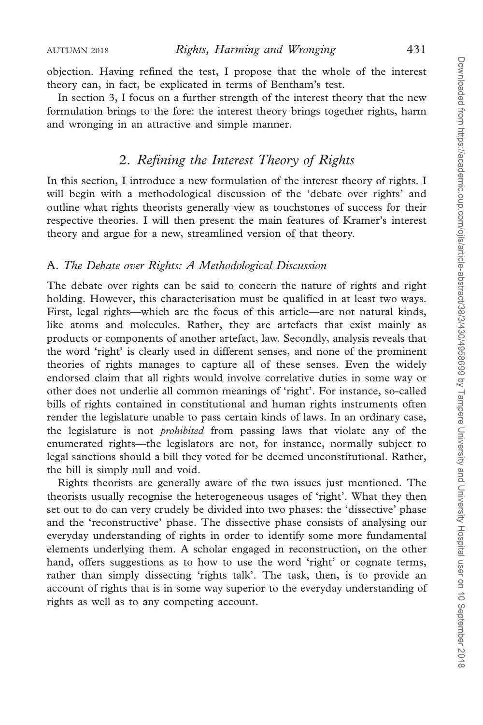objection. Having refined the test, I propose that the whole of the interest theory can, in fact, be explicated in terms of Bentham's test.

In section 3, I focus on a further strength of the interest theory that the new formulation brings to the fore: the interest theory brings together rights, harm and wronging in an attractive and simple manner.

# 2. Refining the Interest Theory of Rights

In this section, I introduce a new formulation of the interest theory of rights. I will begin with a methodological discussion of the 'debate over rights' and outline what rights theorists generally view as touchstones of success for their respective theories. I will then present the main features of Kramer's interest theory and argue for a new, streamlined version of that theory.

#### A. The Debate over Rights: A Methodological Discussion

The debate over rights can be said to concern the nature of rights and right holding. However, this characterisation must be qualified in at least two ways. First, legal rights—which are the focus of this article—are not natural kinds, like atoms and molecules. Rather, they are artefacts that exist mainly as products or components of another artefact, law. Secondly, analysis reveals that the word 'right' is clearly used in different senses, and none of the prominent theories of rights manages to capture all of these senses. Even the widely endorsed claim that all rights would involve correlative duties in some way or other does not underlie all common meanings of 'right'. For instance, so-called bills of rights contained in constitutional and human rights instruments often render the legislature unable to pass certain kinds of laws. In an ordinary case, the legislature is not *prohibited* from passing laws that violate any of the enumerated rights—the legislators are not, for instance, normally subject to legal sanctions should a bill they voted for be deemed unconstitutional. Rather, the bill is simply null and void.

Rights theorists are generally aware of the two issues just mentioned. The theorists usually recognise the heterogeneous usages of 'right'. What they then set out to do can very crudely be divided into two phases: the 'dissective' phase and the 'reconstructive' phase. The dissective phase consists of analysing our everyday understanding of rights in order to identify some more fundamental elements underlying them. A scholar engaged in reconstruction, on the other hand, offers suggestions as to how to use the word 'right' or cognate terms, rather than simply dissecting 'rights talk'. The task, then, is to provide an account of rights that is in some way superior to the everyday understanding of rights as well as to any competing account.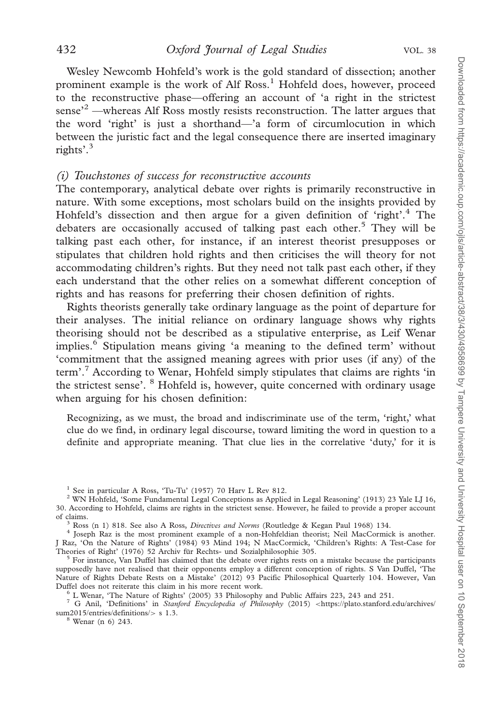Wesley Newcomb Hohfeld's work is the gold standard of dissection; another prominent example is the work of Alf Ross.<sup>1</sup> Hohfeld does, however, proceed to the reconstructive phase—offering an account of 'a right in the strictest sense<sup> $2$ </sup> —whereas Alf Ross mostly resists reconstruction. The latter argues that the word 'right' is just a shorthand—'a form of circumlocution in which between the juristic fact and the legal consequence there are inserted imaginary rights'.<sup>3</sup>

#### (i) Touchstones of success for reconstructive accounts

The contemporary, analytical debate over rights is primarily reconstructive in nature. With some exceptions, most scholars build on the insights provided by Hohfeld's dissection and then argue for a given definition of 'right'.<sup>4</sup> The debaters are occasionally accused of talking past each other.<sup>5</sup> They will be talking past each other, for instance, if an interest theorist presupposes or stipulates that children hold rights and then criticises the will theory for not accommodating children's rights. But they need not talk past each other, if they each understand that the other relies on a somewhat different conception of rights and has reasons for preferring their chosen definition of rights.

Rights theorists generally take ordinary language as the point of departure for their analyses. The initial reliance on ordinary language shows why rights theorising should not be described as a stipulative enterprise, as Leif Wenar implies.6 Stipulation means giving 'a meaning to the defined term' without 'commitment that the assigned meaning agrees with prior uses (if any) of the term'.7 According to Wenar, Hohfeld simply stipulates that claims are rights 'in the strictest sense'. <sup>8</sup> Hohfeld is, however, quite concerned with ordinary usage when arguing for his chosen definition:

Recognizing, as we must, the broad and indiscriminate use of the term, 'right,' what clue do we find, in ordinary legal discourse, toward limiting the word in question to a definite and appropriate meaning. That clue lies in the correlative 'duty,' for it is

<sup>&</sup>lt;sup>1</sup> See in particular A Ross, 'Tu-Tu' (1957) 70 Harv L Rev 812.<br><sup>2</sup> WN Hohfeld, 'Some Fundamental Legal Conceptions as Applied in Legal Reasoning' (1913) 23 Yale LJ 16, 30. According to Hohfeld, claims are rights in the strictest sense. However, he failed to provide a proper account % of claims.<br><sup>3</sup> Ross (n 1) 818. See also A Ross, *Directives and Norms* (Routledge & Kegan Paul 1968) 134.<br><sup>4</sup> Joseph Raz is the most prominent example of a non-Hohfeldian theorist; Neil MacCormick is another.

J Raz, 'On the Nature of Rights' (1984) 93 Mind 194; N MacCormick, 'Children's Rights: A Test-Case for

For instance, Van Duffel has claimed that the debate over rights rests on a mistake because the participants supposedly have not realised that their opponents employ a different conception of rights. S Van Duffel, 'The Nature of Rights Debate Rests on a Mistake' (2012) 93 Pacific Philosophical Quarterly 104. However, Van Duffel does not reiterate this claim in his more recent work.<br><sup>6</sup> L Wenar, 'The Nature of Rights' (2005) 33 Philosophy and Public Affairs 223, 243 and 251.<br><sup>7</sup> G Anil, 'Definitions' in *Stanford Encyclopedia of Philosophy* 

[sum2015/entries/definitions/](https://plato.stanford.edu/archives/sum2015/entries/definitions/)<sup>&</sup>gt; s 1.3. <sup>8</sup> Wenar (n 6) 243.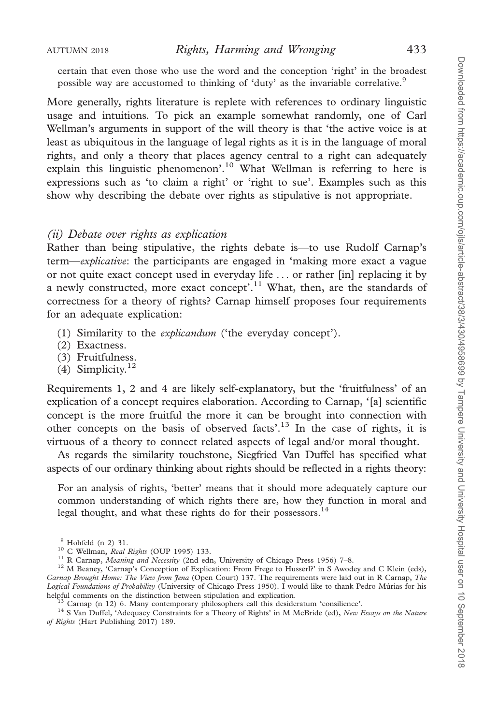certain that even those who use the word and the conception 'right' in the broadest possible way are accustomed to thinking of 'duty' as the invariable correlative.<sup>9</sup>

More generally, rights literature is replete with references to ordinary linguistic usage and intuitions. To pick an example somewhat randomly, one of Carl Wellman's arguments in support of the will theory is that 'the active voice is at least as ubiquitous in the language of legal rights as it is in the language of moral rights, and only a theory that places agency central to a right can adequately explain this linguistic phenomenon'.<sup>10</sup> What Wellman is referring to here is expressions such as 'to claim a right' or 'right to sue'. Examples such as this show why describing the debate over rights as stipulative is not appropriate.

### (ii) Debate over rights as explication

Rather than being stipulative, the rights debate is—to use Rudolf Carnap's term—explicative: the participants are engaged in 'making more exact a vague or not quite exact concept used in everyday life ... or rather [in] replacing it by a newly constructed, more exact concept'.<sup>11</sup> What, then, are the standards of correctness for a theory of rights? Carnap himself proposes four requirements for an adequate explication:

- (1) Similarity to the explicandum ('the everyday concept').
- (2) Exactness.
- (3) Fruitfulness.
- (4) Simplicity.<sup>12</sup>

Requirements 1, 2 and 4 are likely self-explanatory, but the 'fruitfulness' of an explication of a concept requires elaboration. According to Carnap, '[a] scientific concept is the more fruitful the more it can be brought into connection with other concepts on the basis of observed facts'.<sup>13</sup> In the case of rights, it is virtuous of a theory to connect related aspects of legal and/or moral thought.

As regards the similarity touchstone, Siegfried Van Duffel has specified what aspects of our ordinary thinking about rights should be reflected in a rights theory:

For an analysis of rights, 'better' means that it should more adequately capture our common understanding of which rights there are, how they function in moral and legal thought, and what these rights do for their possessors.<sup>14</sup>

<sup>13</sup> Carnap (n 12) 6. Many contemporary philosophers call this desideratum 'consilience'.<br><sup>14</sup> S Van Duffel, 'Adequacy Constraints for a Theory of Rights' in M McBride (ed), *New Essays on the Nature* of Rights (Hart Publishing 2017) 189.

<sup>&</sup>lt;sup>9</sup> Hohfeld (n 2) 31.<br><sup>10</sup> C Wellman, *Real Rights* (OUP 1995) 133.<br><sup>11</sup> R Carnap, *Meaning and Necessity* (2nd edn, University of Chicago Press 1956) 7–8.<br><sup>12</sup> M Beaney, 'Carnap's Conception of Explication: From Frege to Carnap Brought Home: The View from Jena (Open Court) 137. The requirements were laid out in R Carnap, The Logical Foundations of Probability (University of Chicago Press 1950). I would like to thank Pedro Múrias for his helpful comments on the distinction between stipulation and explication.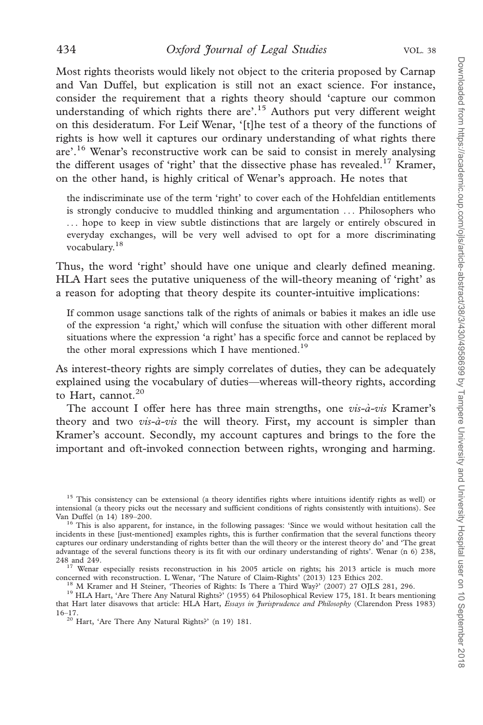Most rights theorists would likely not object to the criteria proposed by Carnap and Van Duffel, but explication is still not an exact science. For instance, consider the requirement that a rights theory should 'capture our common understanding of which rights there are'.<sup>15</sup> Authors put very different weight on this desideratum. For Leif Wenar, '[t]he test of a theory of the functions of rights is how well it captures our ordinary understanding of what rights there are'.<sup>16</sup> Wenar's reconstructive work can be said to consist in merely analysing the different usages of 'right' that the dissective phase has revealed.<sup>17</sup> Kramer, on the other hand, is highly critical of Wenar's approach. He notes that

the indiscriminate use of the term 'right' to cover each of the Hohfeldian entitlements is strongly conducive to muddled thinking and argumentation ... Philosophers who ... hope to keep in view subtle distinctions that are largely or entirely obscured in everyday exchanges, will be very well advised to opt for a more discriminating vocabulary.<sup>18</sup>

Thus, the word 'right' should have one unique and clearly defined meaning. HLA Hart sees the putative uniqueness of the will-theory meaning of 'right' as a reason for adopting that theory despite its counter-intuitive implications:

If common usage sanctions talk of the rights of animals or babies it makes an idle use of the expression 'a right,' which will confuse the situation with other different moral situations where the expression 'a right' has a specific force and cannot be replaced by the other moral expressions which I have mentioned.<sup>19</sup>

As interest-theory rights are simply correlates of duties, they can be adequately explained using the vocabulary of duties—whereas will-theory rights, according to Hart, cannot. $20$ 

The account I offer here has three main strengths, one  $vis-\hat{a}-vis$  Kramer's theory and two  $vis-\hat{a}-vis$  the will theory. First, my account is simpler than Kramer's account. Secondly, my account captures and brings to the fore the important and oft-invoked connection between rights, wronging and harming.

<sup>18</sup> M Kramer and H Steiner, 'Theories of Rights: Is There a Third Way?' (2007) 27 OJLS 281, 296.<br><sup>19</sup> HLA Hart, 'Are There Any Natural Rights?' (1955) 64 Philosophical Review 175, 181. It bears mentioning

<sup>&</sup>lt;sup>15</sup> This consistency can be extensional (a theory identifies rights where intuitions identify rights as well) or intensional (a theory picks out the necessary and sufficient conditions of rights consistently with intuitions). See

<sup>&</sup>lt;sup>16</sup> This is also apparent, for instance, in the following passages: 'Since we would without hesitation call the incidents in these [just-mentioned] examples rights, this is further confirmation that the several functions theory captures our ordinary understanding of rights better than the will theory or the interest theory do' and 'The great advantage of the several functions theory is its fit with our ordinary understanding of rights'. Wenar (n 6) 238,

<sup>&</sup>lt;sup>17</sup> Wenar especially resists reconstruction in his 2005 article on rights; his 2013 article is much more concerned with reconstruction. L Wenar, 'The Nature of Claim-Rights' (2013) 123 Ethics 202.

that Hart later disavows that article: HLA Hart, Essays in Jurisprudence and Philosophy (Clarendon Press 1983) 16–17. <sup>20</sup> Hart, 'Are There Any Natural Rights?' (n 19) 181.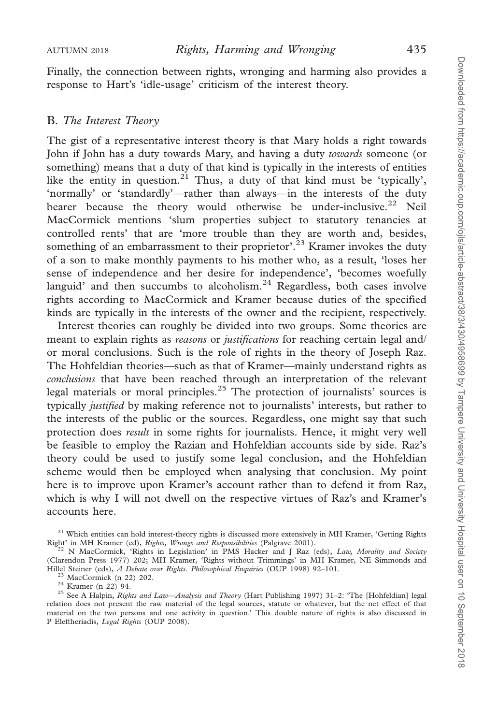Finally, the connection between rights, wronging and harming also provides a response to Hart's 'idle-usage' criticism of the interest theory.

#### B. The Interest Theory

The gist of a representative interest theory is that Mary holds a right towards John if John has a duty towards Mary, and having a duty towards someone (or something) means that a duty of that kind is typically in the interests of entities like the entity in question.<sup>21</sup> Thus, a duty of that kind must be 'typically', 'normally' or 'standardly'—rather than always—in the interests of the duty bearer because the theory would otherwise be under-inclusive.<sup>22</sup> Neil MacCormick mentions 'slum properties subject to statutory tenancies at controlled rents' that are 'more trouble than they are worth and, besides, something of an embarrassment to their proprietor'.<sup>23</sup> Kramer invokes the duty of a son to make monthly payments to his mother who, as a result, 'loses her sense of independence and her desire for independence', 'becomes woefully languid' and then succumbs to alcoholism.<sup>24</sup> Regardless, both cases involve rights according to MacCormick and Kramer because duties of the specified kinds are typically in the interests of the owner and the recipient, respectively.

Interest theories can roughly be divided into two groups. Some theories are meant to explain rights as *reasons* or *justifications* for reaching certain legal and/ or moral conclusions. Such is the role of rights in the theory of Joseph Raz. The Hohfeldian theories—such as that of Kramer—mainly understand rights as conclusions that have been reached through an interpretation of the relevant legal materials or moral principles.<sup>25</sup> The protection of journalists' sources is typically justified by making reference not to journalists' interests, but rather to the interests of the public or the sources. Regardless, one might say that such protection does result in some rights for journalists. Hence, it might very well be feasible to employ the Razian and Hohfeldian accounts side by side. Raz's theory could be used to justify some legal conclusion, and the Hohfeldian scheme would then be employed when analysing that conclusion. My point here is to improve upon Kramer's account rather than to defend it from Raz, which is why I will not dwell on the respective virtues of Raz's and Kramer's accounts here.

<sup>&</sup>lt;sup>21</sup> Which entities can hold interest-theory rights is discussed more extensively in MH Kramer, 'Getting Rights Right' in MH Kramer (ed), *Rights, Wrongs and Responsibilities* (Palgrave 2001).

<sup>&</sup>lt;sup>2</sup> N MacCormick, 'Rights in Legislation' in PMS Hacker and J Raz (eds), Law, Morality and Society (Clarendon Press 1977) 202; MH Kramer, 'Rights without Trimmings' in MH Kramer, NE Simmonds and Hillel Steiner (eds), *A Debate over Rights. Philosophical Enquiries* (OUP 1998) 92–101.<br><sup>23</sup> MacCormick (n 22) 202.<br><sup>24</sup> Kramer (n 22) 94.<br><sup>24</sup> Kemer (n 22) 94.<br><sup>25</sup> See A Halpin, *Rights and Law—Analysis and Theory* (Har

relation does not present the raw material of the legal sources, statute or whatever, but the net effect of that material on the two persons and one activity in question.' This double nature of rights is also discussed in P Eleftheriadis, Legal Rights (OUP 2008).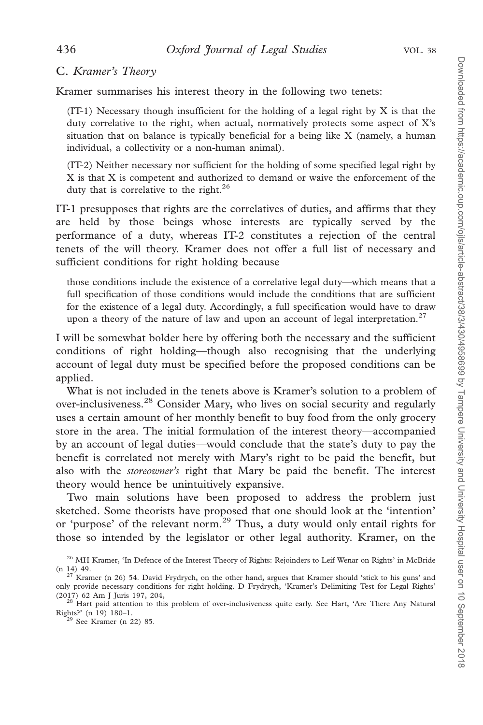C. Kramer's Theory

Kramer summarises his interest theory in the following two tenets:

(IT-1) Necessary though insufficient for the holding of a legal right by X is that the duty correlative to the right, when actual, normatively protects some aspect of X's situation that on balance is typically beneficial for a being like X (namely, a human individual, a collectivity or a non-human animal).

(IT-2) Neither necessary nor sufficient for the holding of some specified legal right by X is that X is competent and authorized to demand or waive the enforcement of the duty that is correlative to the right. $^{26}$ 

IT-1 presupposes that rights are the correlatives of duties, and affirms that they are held by those beings whose interests are typically served by the performance of a duty, whereas IT-2 constitutes a rejection of the central tenets of the will theory. Kramer does not offer a full list of necessary and sufficient conditions for right holding because

those conditions include the existence of a correlative legal duty—which means that a full specification of those conditions would include the conditions that are sufficient for the existence of a legal duty. Accordingly, a full specification would have to draw upon a theory of the nature of law and upon an account of legal interpretation.<sup>27</sup>

I will be somewhat bolder here by offering both the necessary and the sufficient conditions of right holding—though also recognising that the underlying account of legal duty must be specified before the proposed conditions can be applied.

What is not included in the tenets above is Kramer's solution to a problem of over-inclusiveness.<sup>28</sup> Consider Mary, who lives on social security and regularly uses a certain amount of her monthly benefit to buy food from the only grocery store in the area. The initial formulation of the interest theory—accompanied by an account of legal duties—would conclude that the state's duty to pay the benefit is correlated not merely with Mary's right to be paid the benefit, but also with the storeowner's right that Mary be paid the benefit. The interest theory would hence be unintuitively expansive.

Two main solutions have been proposed to address the problem just sketched. Some theorists have proposed that one should look at the 'intention' or 'purpose' of the relevant norm.<sup>29</sup> Thus, a duty would only entail rights for those so intended by the legislator or other legal authority. Kramer, on the

<sup>&</sup>lt;sup>26</sup> MH Kramer, 'In Defence of the Interest Theory of Rights: Rejoinders to Leif Wenar on Rights' in McBride (n 14) 49. <sup>27</sup> Kramer (n 26) 54. David Frydrych, on the other hand, argues that Kramer should 'stick to his guns' and

only provide necessary conditions for right holding. D Frydrych, 'Kramer's Delimiting Test for Legal Rights'

<sup>(2017) 62</sup> Am J Juris 197, 204, <sup>28</sup> Hart paid attention to this problem of over-inclusiveness quite early. See Hart, 'Are There Any Natural Rights?' (n 19) 180–1.

<sup>&</sup>lt;sup>29</sup> See Kramer (n 22) 85.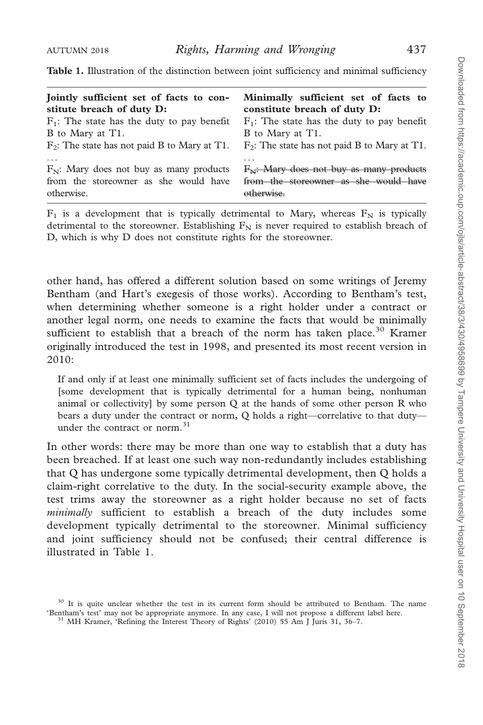| Jointly sufficient set of facts to con-                                                                       | Minimally sufficient set of facts to                                                         |
|---------------------------------------------------------------------------------------------------------------|----------------------------------------------------------------------------------------------|
| stitute breach of duty D:                                                                                     | constitute breach of duty D:                                                                 |
| $F_1$ : The state has the duty to pay benefit                                                                 | $F_1$ : The state has the duty to pay benefit                                                |
| B to Mary at T1.                                                                                              | B to Mary at T1.                                                                             |
| $F_2$ : The state has not paid B to Mary at T1.                                                               | $F_2$ : The state has not paid B to Mary at T1.                                              |
| $\cdots$<br>$F_N$ : Mary does not buy as many products<br>from the storeowner as she would have<br>otherwise. | F <sub>N</sub> : Mary does not buy as many products<br>from the storeowner as she would have |

Table 1. Illustration of the distinction between joint sufficiency and minimal sufficiency

 $F_1$  is a development that is typically detrimental to Mary, whereas  $F_N$  is typically detrimental to the storeowner. Establishing  $F<sub>N</sub>$  is never required to establish breach of D, which is why D does not constitute rights for the storeowner.

other hand, has offered a different solution based on some writings of Jeremy Bentham (and Hart's exegesis of those works). According to Bentham's test, when determining whether someone is a right holder under a contract or another legal norm, one needs to examine the facts that would be minimally sufficient to establish that a breach of the norm has taken place. $30$  Kramer originally introduced the test in 1998, and presented its most recent version in 2010:

If and only if at least one minimally sufficient set of facts includes the undergoing of [some development that is typically detrimental for a human being, nonhuman animal or collectivity] by some person Q at the hands of some other person R who bears a duty under the contract or norm, Q holds a right—correlative to that duty under the contract or norm.<sup>31</sup>

In other words: there may be more than one way to establish that a duty has been breached. If at least one such way non-redundantly includes establishing that Q has undergone some typically detrimental development, then Q holds a claim-right correlative to the duty. In the social-security example above, the test trims away the storeowner as a right holder because no set of facts minimally sufficient to establish a breach of the duty includes some development typically detrimental to the storeowner. Minimal sufficiency and joint sufficiency should not be confused; their central difference is illustrated in Table 1.

<sup>&</sup>lt;sup>30</sup> It is quite unclear whether the test in its current form should be attributed to Bentham. The name 'Bentham's test' may not be appropriate anymore. In any case, I will not propose a different label here. <sup>31</sup> MH Kramer, 'Refining the Interest Theory of Rights' (2010) 55 Am J Juris 31, 36–7.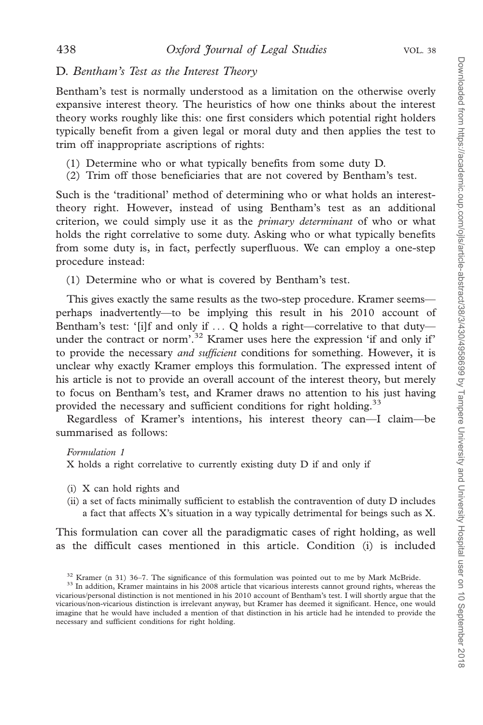## D. Bentham's Test as the Interest Theory

Bentham's test is normally understood as a limitation on the otherwise overly expansive interest theory. The heuristics of how one thinks about the interest theory works roughly like this: one first considers which potential right holders typically benefit from a given legal or moral duty and then applies the test to trim off inappropriate ascriptions of rights:

- (1) Determine who or what typically benefits from some duty D.
- (2) Trim off those beneficiaries that are not covered by Bentham's test.

Such is the 'traditional' method of determining who or what holds an interesttheory right. However, instead of using Bentham's test as an additional criterion, we could simply use it as the *primary determinant* of who or what holds the right correlative to some duty. Asking who or what typically benefits from some duty is, in fact, perfectly superfluous. We can employ a one-step procedure instead:

(1) Determine who or what is covered by Bentham's test.

This gives exactly the same results as the two-step procedure. Kramer seems perhaps inadvertently—to be implying this result in his 2010 account of Bentham's test: '[i]f and only if ... Q holds a right—correlative to that duty under the contract or norm'.<sup>32</sup> Kramer uses here the expression 'if and only if' to provide the necessary *and sufficient* conditions for something. However, it is unclear why exactly Kramer employs this formulation. The expressed intent of his article is not to provide an overall account of the interest theory, but merely to focus on Bentham's test, and Kramer draws no attention to his just having provided the necessary and sufficient conditions for right holding.<sup>33</sup>

Regardless of Kramer's intentions, his interest theory can—I claim—be summarised as follows:

## Formulation 1

X holds a right correlative to currently existing duty D if and only if

- (i) X can hold rights and
- (ii) a set of facts minimally sufficient to establish the contravention of duty D includes a fact that affects X's situation in a way typically detrimental for beings such as X.

This formulation can cover all the paradigmatic cases of right holding, as well as the difficult cases mentioned in this article. Condition (i) is included

<sup>&</sup>lt;sup>32</sup> Kramer (n 31) 36–7. The significance of this formulation was pointed out to me by Mark McBride.  $33$  In addition, Kramer maintains in his 2008 article that vicarious interests cannot ground rights, whereas the

vicarious/personal distinction is not mentioned in his 2010 account of Bentham's test. I will shortly argue that the vicarious/non-vicarious distinction is irrelevant anyway, but Kramer has deemed it significant. Hence, one would imagine that he would have included a mention of that distinction in his article had he intended to provide the necessary and sufficient conditions for right holding.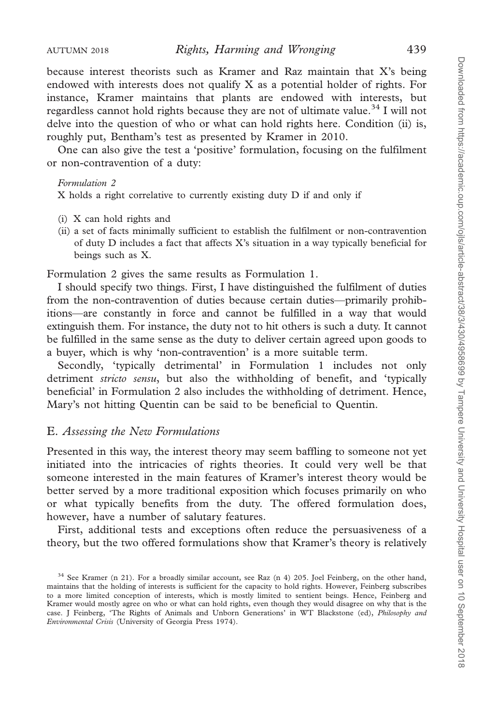because interest theorists such as Kramer and Raz maintain that X's being endowed with interests does not qualify X as a potential holder of rights. For instance, Kramer maintains that plants are endowed with interests, but regardless cannot hold rights because they are not of ultimate value.<sup>34</sup> I will not delve into the question of who or what can hold rights here. Condition (ii) is, roughly put, Bentham's test as presented by Kramer in 2010.

One can also give the test a 'positive' formulation, focusing on the fulfilment or non-contravention of a duty:

#### Formulation 2

X holds a right correlative to currently existing duty D if and only if

- (i) X can hold rights and
- (ii) a set of facts minimally sufficient to establish the fulfilment or non-contravention of duty D includes a fact that affects X's situation in a way typically beneficial for beings such as X.

Formulation 2 gives the same results as Formulation 1.

I should specify two things. First, I have distinguished the fulfilment of duties from the non-contravention of duties because certain duties—primarily prohibitions—are constantly in force and cannot be fulfilled in a way that would extinguish them. For instance, the duty not to hit others is such a duty. It cannot be fulfilled in the same sense as the duty to deliver certain agreed upon goods to a buyer, which is why 'non-contravention' is a more suitable term.

Secondly, 'typically detrimental' in Formulation 1 includes not only detriment *stricto sensu*, but also the withholding of benefit, and 'typically beneficial' in Formulation 2 also includes the withholding of detriment. Hence, Mary's not hitting Quentin can be said to be beneficial to Quentin.

#### E. Assessing the New Formulations

Presented in this way, the interest theory may seem baffling to someone not yet initiated into the intricacies of rights theories. It could very well be that someone interested in the main features of Kramer's interest theory would be better served by a more traditional exposition which focuses primarily on who or what typically benefits from the duty. The offered formulation does, however, have a number of salutary features.

First, additional tests and exceptions often reduce the persuasiveness of a theory, but the two offered formulations show that Kramer's theory is relatively

<sup>&</sup>lt;sup>34</sup> See Kramer (n 21). For a broadly similar account, see Raz (n 4) 205. Joel Feinberg, on the other hand, maintains that the holding of interests is sufficient for the capacity to hold rights. However, Feinberg subscribes to a more limited conception of interests, which is mostly limited to sentient beings. Hence, Feinberg and Kramer would mostly agree on who or what can hold rights, even though they would disagree on why that is the case. J Feinberg, 'The Rights of Animals and Unborn Generations' in WT Blackstone (ed), Philosophy and Environmental Crisis (University of Georgia Press 1974).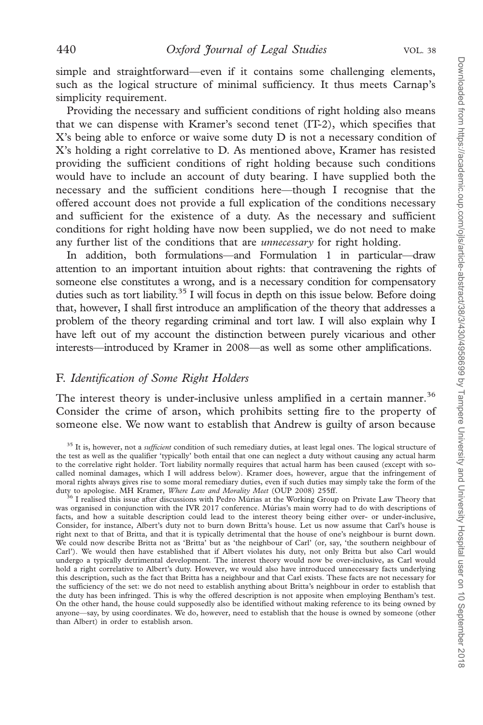simple and straightforward—even if it contains some challenging elements, such as the logical structure of minimal sufficiency. It thus meets Carnap's simplicity requirement.

Providing the necessary and sufficient conditions of right holding also means that we can dispense with Kramer's second tenet (IT-2), which specifies that X's being able to enforce or waive some duty D is not a necessary condition of X's holding a right correlative to D. As mentioned above, Kramer has resisted providing the sufficient conditions of right holding because such conditions would have to include an account of duty bearing. I have supplied both the necessary and the sufficient conditions here—though I recognise that the offered account does not provide a full explication of the conditions necessary and sufficient for the existence of a duty. As the necessary and sufficient conditions for right holding have now been supplied, we do not need to make any further list of the conditions that are *unnecessary* for right holding.

In addition, both formulations—and Formulation 1 in particular—draw attention to an important intuition about rights: that contravening the rights of someone else constitutes a wrong, and is a necessary condition for compensatory duties such as tort liability.<sup>35</sup> I will focus in depth on this issue below. Before doing that, however, I shall first introduce an amplification of the theory that addresses a problem of the theory regarding criminal and tort law. I will also explain why I have left out of my account the distinction between purely vicarious and other interests—introduced by Kramer in 2008—as well as some other amplifications.

## F. Identification of Some Right Holders

The interest theory is under-inclusive unless amplified in a certain manner.<sup>36</sup> Consider the crime of arson, which prohibits setting fire to the property of someone else. We now want to establish that Andrew is guilty of arson because

<sup>&</sup>lt;sup>35</sup> It is, however, not a *sufficient* condition of such remediary duties, at least legal ones. The logical structure of the test as well as the qualifier 'typically' both entail that one can neglect a duty without causing any actual harm to the correlative right holder. Tort liability normally requires that actual harm has been caused (except with socalled nominal damages, which I will address below). Kramer does, however, argue that the infringement of moral rights always gives rise to some moral remediary duties, even if such duties may simply take the form of the duty to apologise. MH Kramer, *Where Law and Morality Meet* (OUP 2008) 255ff.

 $6$  I realised this issue after discussions with Pedro Múrias at the Working Group on Private Law Theory that was organised in conjunction with the IVR 2017 conference. Múrias's main worry had to do with descriptions of facts, and how a suitable description could lead to the interest theory being either over- or under-inclusive, Consider, for instance, Albert's duty not to burn down Britta's house. Let us now assume that Carl's house is right next to that of Britta, and that it is typically detrimental that the house of one's neighbour is burnt down. We could now describe Britta not as 'Britta' but as 'the neighbour of Carl' (or, say, 'the southern neighbour of Carl'). We would then have established that if Albert violates his duty, not only Britta but also Carl would undergo a typically detrimental development. The interest theory would now be over-inclusive, as Carl would hold a right correlative to Albert's duty. However, we would also have introduced unnecessary facts underlying this description, such as the fact that Britta has a neighbour and that Carl exists. These facts are not necessary for the sufficiency of the set: we do not need to establish anything about Britta's neighbour in order to establish that the duty has been infringed. This is why the offered description is not apposite when employing Bentham's test. On the other hand, the house could supposedly also be identified without making reference to its being owned by anyone—say, by using coordinates. We do, however, need to establish that the house is owned by someone (other than Albert) in order to establish arson.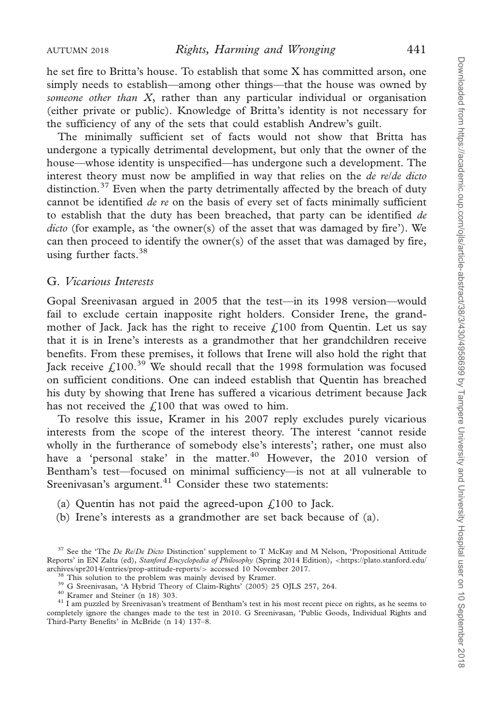he set fire to Britta's house. To establish that some X has committed arson, one simply needs to establish—among other things—that the house was owned by someone other than  $X$ , rather than any particular individual or organisation (either private or public). Knowledge of Britta's identity is not necessary for the sufficiency of any of the sets that could establish Andrew's guilt.

The minimally sufficient set of facts would not show that Britta has undergone a typically detrimental development, but only that the owner of the house—whose identity is unspecified—has undergone such a development. The interest theory must now be amplified in way that relies on the  $de$  re/ $de$  dicto distinction.<sup>37</sup> Even when the party detrimentally affected by the breach of duty cannot be identified de re on the basis of every set of facts minimally sufficient to establish that the duty has been breached, that party can be identified  $de$  $dicto$  (for example, as 'the owner(s) of the asset that was damaged by fire'). We can then proceed to identify the owner(s) of the asset that was damaged by fire, using further facts. $38$ 

## G. Vicarious Interests

Gopal Sreenivasan argued in 2005 that the test—in its 1998 version—would fail to exclude certain inapposite right holders. Consider Irene, the grandmother of Jack. Jack has the right to receive  $\ell$ 100 from Quentin. Let us say that it is in Irene's interests as a grandmother that her grandchildren receive benefits. From these premises, it follows that Irene will also hold the right that Jack receive  $\text{\textsterling}100.^{39}$  We should recall that the 1998 formulation was focused on sufficient conditions. One can indeed establish that Quentin has breached his duty by showing that Irene has suffered a vicarious detriment because Jack has not received the  $\text{\textsterling}100$  that was owed to him.

To resolve this issue, Kramer in his 2007 reply excludes purely vicarious interests from the scope of the interest theory. The interest 'cannot reside wholly in the furtherance of somebody else's interests'; rather, one must also have a 'personal stake' in the matter.<sup>40</sup> However, the 2010 version of Bentham's test—focused on minimal sufficiency—is not at all vulnerable to Sreenivasan's argument. $41$  Consider these two statements:

- (a) Quentin has not paid the agreed-upon  $f<sub>100</sub>$  to Jack.
- (b) Irene's interests as a grandmother are set back because of (a).

- 
- 
- 

[archives/spr2014/entries/prop-attitude-reports/](https://plato.stanford.edu/archives/spr2014/entries/prop-attitude-reports/)> accessed 10 November 2017.<br><sup>38</sup> This solution to the problem was mainly devised by Kramer.<br><sup>39</sup> G Sreenivasan, 'A Hybrid Theory of Claim-Rights' (2005) 25 OJLS 257, 264.<br><sup>4</sup> completely ignore the changes made to the test in 2010. G Sreenivasan, 'Public Goods, Individual Rights and Third-Party Benefits' in McBride (n 14) 137–8.

<sup>&</sup>lt;sup>37</sup> See the 'The De Re/De Dicto Distinction' supplement to T McKay and M Nelson, 'Propositional Attitude Reports' in EN Zalta (ed), Stanford Encyclopedia of Philosophy (Spring 2014 Edition), <[https://plato.stanford.edu/](https://plato.stanford.edu/archives/spr2014/entries/prop-attitude-reports/)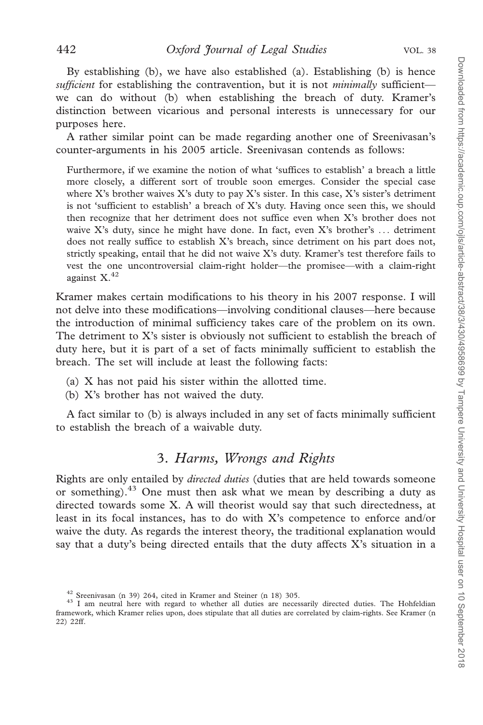By establishing (b), we have also established (a). Establishing (b) is hence sufficient for establishing the contravention, but it is not *minimally* sufficient we can do without (b) when establishing the breach of duty. Kramer's distinction between vicarious and personal interests is unnecessary for our purposes here.

A rather similar point can be made regarding another one of Sreenivasan's counter-arguments in his 2005 article. Sreenivasan contends as follows:

Furthermore, if we examine the notion of what 'suffices to establish' a breach a little more closely, a different sort of trouble soon emerges. Consider the special case where  $X$ 's brother waives  $X$ 's duty to pay  $X$ 's sister. In this case,  $X$ 's sister's detriment is not 'sufficient to establish' a breach of X's duty. Having once seen this, we should then recognize that her detriment does not suffice even when X's brother does not waive X's duty, since he might have done. In fact, even X's brother's ... detriment does not really suffice to establish X's breach, since detriment on his part does not, strictly speaking, entail that he did not waive X's duty. Kramer's test therefore fails to vest the one uncontroversial claim-right holder—the promisee—with a claim-right against  $X^{42}$ 

Kramer makes certain modifications to his theory in his 2007 response. I will not delve into these modifications—involving conditional clauses—here because the introduction of minimal sufficiency takes care of the problem on its own. The detriment to X's sister is obviously not sufficient to establish the breach of duty here, but it is part of a set of facts minimally sufficient to establish the breach. The set will include at least the following facts:

- (a) X has not paid his sister within the allotted time.
- (b) X's brother has not waived the duty.

A fact similar to (b) is always included in any set of facts minimally sufficient to establish the breach of a waivable duty.

# 3. Harms, Wrongs and Rights

Rights are only entailed by *directed duties* (duties that are held towards someone or something).<sup>43</sup> One must then ask what we mean by describing a duty as directed towards some X. A will theorist would say that such directedness, at least in its focal instances, has to do with X's competence to enforce and/or waive the duty. As regards the interest theory, the traditional explanation would say that a duty's being directed entails that the duty affects X's situation in a

<sup>&</sup>lt;sup>42</sup> Sreenivasan (n 39) 264, cited in Kramer and Steiner (n 18) 305.<br><sup>43</sup> I am neutral here with regard to whether all duties are necessarily directed duties. The Hohfeldian framework, which Kramer relies upon, does stipulate that all duties are correlated by claim-rights. See Kramer (n 22) 22ff.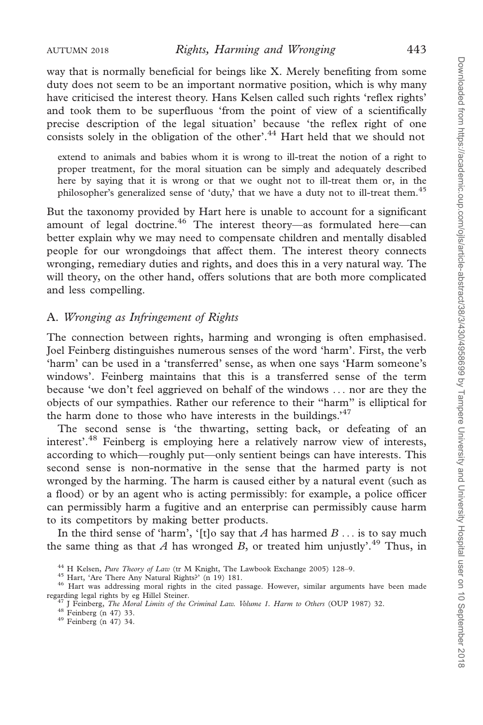way that is normally beneficial for beings like X. Merely benefiting from some duty does not seem to be an important normative position, which is why many have criticised the interest theory. Hans Kelsen called such rights 'reflex rights' and took them to be superfluous 'from the point of view of a scientifically precise description of the legal situation' because 'the reflex right of one consists solely in the obligation of the other'.<sup>44</sup> Hart held that we should not

extend to animals and babies whom it is wrong to ill-treat the notion of a right to proper treatment, for the moral situation can be simply and adequately described here by saying that it is wrong or that we ought not to ill-treat them or, in the philosopher's generalized sense of 'duty,' that we have a duty not to ill-treat them.<sup>45</sup>

But the taxonomy provided by Hart here is unable to account for a significant amount of legal doctrine.<sup>46</sup> The interest theory—as formulated here—can better explain why we may need to compensate children and mentally disabled people for our wrongdoings that affect them. The interest theory connects wronging, remediary duties and rights, and does this in a very natural way. The will theory, on the other hand, offers solutions that are both more complicated and less compelling.

#### A. Wronging as Infringement of Rights

The connection between rights, harming and wronging is often emphasised. Joel Feinberg distinguishes numerous senses of the word 'harm'. First, the verb 'harm' can be used in a 'transferred' sense, as when one says 'Harm someone's windows'. Feinberg maintains that this is a transferred sense of the term because 'we don't feel aggrieved on behalf of the windows ... nor are they the objects of our sympathies. Rather our reference to their ''harm'' is elliptical for the harm done to those who have interests in the buildings.<sup>47</sup>

The second sense is 'the thwarting, setting back, or defeating of an interest'.48 Feinberg is employing here a relatively narrow view of interests, according to which—roughly put—only sentient beings can have interests. This second sense is non-normative in the sense that the harmed party is not wronged by the harming. The harm is caused either by a natural event (such as a flood) or by an agent who is acting permissibly: for example, a police officer can permissibly harm a fugitive and an enterprise can permissibly cause harm to its competitors by making better products.

In the third sense of 'harm', '[t]o say that A has harmed  $B \dots$  is to say much the same thing as that A has wronged B, or treated him unjustly'.<sup>49</sup> Thus, in

<sup>&</sup>lt;sup>44</sup> H Kelsen, *Pure Theory of Law* (tr M Knight, The Lawbook Exchange 2005) 128–9.<br><sup>45</sup> Hart, 'Are There Any Natural Rights?' (n 19) 181.<br><sup>46</sup> Hart was addressing moral rights in the cited passage. However, similar argum

<sup>&</sup>lt;sup>47</sup> J Feinberg, *The Moral Limits of the Criminal Law. Volume 1. Harm to Others* (OUP 1987) 32. <sup>48</sup> Feinberg (n 47) 33.  $^{49}$  Feinberg (n 47) 34.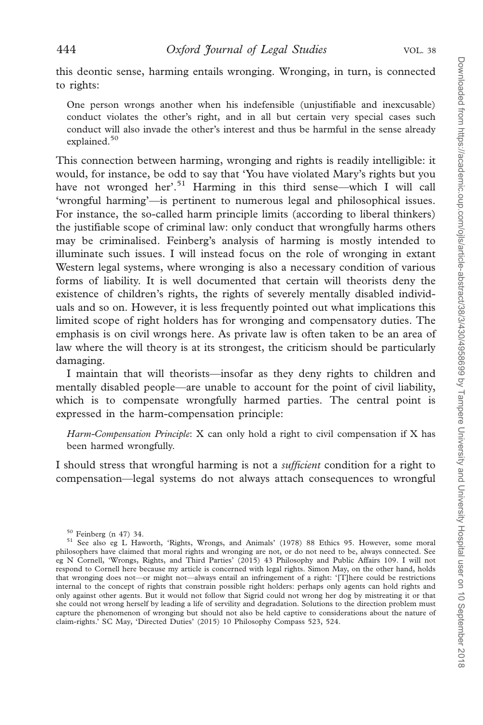this deontic sense, harming entails wronging. Wronging, in turn, is connected to rights:

One person wrongs another when his indefensible (unjustifiable and inexcusable) conduct violates the other's right, and in all but certain very special cases such conduct will also invade the other's interest and thus be harmful in the sense already explained.<sup>50</sup>

This connection between harming, wronging and rights is readily intelligible: it would, for instance, be odd to say that 'You have violated Mary's rights but you have not wronged her'.<sup>51</sup> Harming in this third sense—which I will call 'wrongful harming'—is pertinent to numerous legal and philosophical issues. For instance, the so-called harm principle limits (according to liberal thinkers) the justifiable scope of criminal law: only conduct that wrongfully harms others may be criminalised. Feinberg's analysis of harming is mostly intended to illuminate such issues. I will instead focus on the role of wronging in extant Western legal systems, where wronging is also a necessary condition of various forms of liability. It is well documented that certain will theorists deny the existence of children's rights, the rights of severely mentally disabled individuals and so on. However, it is less frequently pointed out what implications this limited scope of right holders has for wronging and compensatory duties. The emphasis is on civil wrongs here. As private law is often taken to be an area of law where the will theory is at its strongest, the criticism should be particularly damaging.

I maintain that will theorists—insofar as they deny rights to children and mentally disabled people—are unable to account for the point of civil liability, which is to compensate wrongfully harmed parties. The central point is expressed in the harm-compensation principle:

Harm-Compensation Principle: X can only hold a right to civil compensation if X has been harmed wrongfully.

I should stress that wrongful harming is not a sufficient condition for a right to compensation—legal systems do not always attach consequences to wrongful

 $50$  Feinberg (n 47) 34.<br> $51$  See also eg L Haworth, 'Rights, Wrongs, and Animals' (1978) 88 Ethics 95. However, some moral philosophers have claimed that moral rights and wronging are not, or do not need to be, always connected. See eg N Cornell, 'Wrongs, Rights, and Third Parties' (2015) 43 Philosophy and Public Affairs 109. I will not respond to Cornell here because my article is concerned with legal rights. Simon May, on the other hand, holds that wronging does not—or might not—always entail an infringement of a right: '[T]here could be restrictions internal to the concept of rights that constrain possible right holders: perhaps only agents can hold rights and only against other agents. But it would not follow that Sigrid could not wrong her dog by mistreating it or that she could not wrong herself by leading a life of servility and degradation. Solutions to the direction problem must capture the phenomenon of wronging but should not also be held captive to considerations about the nature of claim-rights.' SC May, 'Directed Duties' (2015) 10 Philosophy Compass 523, 524.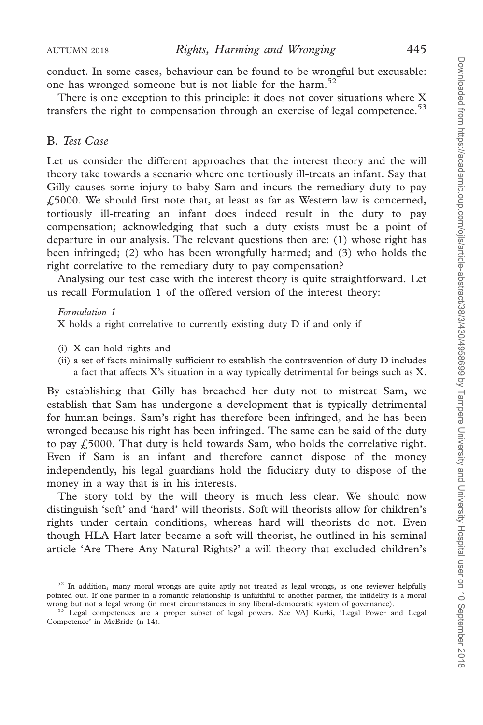conduct. In some cases, behaviour can be found to be wrongful but excusable: one has wronged someone but is not liable for the harm.<sup>52</sup>

There is one exception to this principle: it does not cover situations where X transfers the right to compensation through an exercise of legal competence.<sup>53</sup>

#### B. Test Case

Let us consider the different approaches that the interest theory and the will theory take towards a scenario where one tortiously ill-treats an infant. Say that Gilly causes some injury to baby Sam and incurs the remediary duty to pay £5000. We should first note that, at least as far as Western law is concerned, tortiously ill-treating an infant does indeed result in the duty to pay compensation; acknowledging that such a duty exists must be a point of departure in our analysis. The relevant questions then are: (1) whose right has been infringed; (2) who has been wrongfully harmed; and (3) who holds the right correlative to the remediary duty to pay compensation?

Analysing our test case with the interest theory is quite straightforward. Let us recall Formulation 1 of the offered version of the interest theory:

Formulation 1

X holds a right correlative to currently existing duty D if and only if

- (i) X can hold rights and
- (ii) a set of facts minimally sufficient to establish the contravention of duty D includes a fact that affects X's situation in a way typically detrimental for beings such as X.

By establishing that Gilly has breached her duty not to mistreat Sam, we establish that Sam has undergone a development that is typically detrimental for human beings. Sam's right has therefore been infringed, and he has been wronged because his right has been infringed. The same can be said of the duty to pay  $\ell$  5000. That duty is held towards Sam, who holds the correlative right. Even if Sam is an infant and therefore cannot dispose of the money independently, his legal guardians hold the fiduciary duty to dispose of the money in a way that is in his interests.

The story told by the will theory is much less clear. We should now distinguish 'soft' and 'hard' will theorists. Soft will theorists allow for children's rights under certain conditions, whereas hard will theorists do not. Even though HLA Hart later became a soft will theorist, he outlined in his seminal article 'Are There Any Natural Rights?' a will theory that excluded children's

 $52$  In addition, many moral wrongs are quite aptly not treated as legal wrongs, as one reviewer helpfully pointed out. If one partner in a romantic relationship is unfaithful to another partner, the infidelity is a moral<br>wrong but not a legal wrong (in most circumstances in any liberal-democratic system of governance).

<sup>53</sup> Legal competences are a proper subset of legal powers. See VAJ Kurki, 'Legal Power and Legal Competence' in McBride (n 14).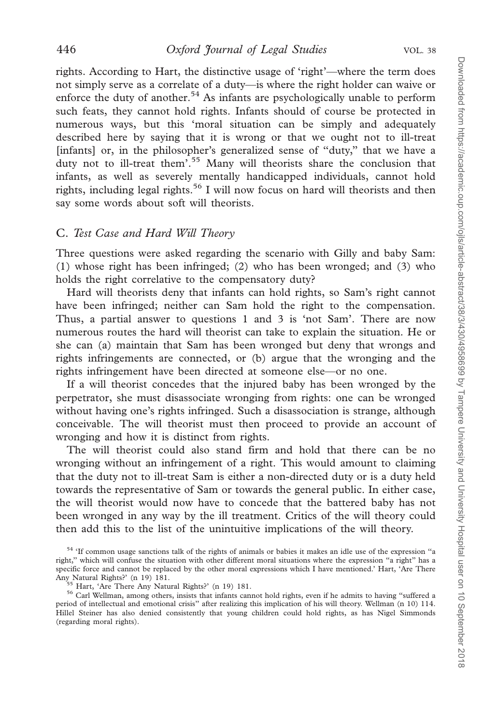rights. According to Hart, the distinctive usage of 'right'—where the term does not simply serve as a correlate of a duty—is where the right holder can waive or enforce the duty of another.<sup>54</sup> As infants are psychologically unable to perform such feats, they cannot hold rights. Infants should of course be protected in numerous ways, but this 'moral situation can be simply and adequately described here by saying that it is wrong or that we ought not to ill-treat [infants] or, in the philosopher's generalized sense of "duty," that we have a duty not to ill-treat them'.<sup>55</sup> Many will theorists share the conclusion that infants, as well as severely mentally handicapped individuals, cannot hold rights, including legal rights.<sup>56</sup> I will now focus on hard will theorists and then say some words about soft will theorists.

#### C. Test Case and Hard Will Theory

Three questions were asked regarding the scenario with Gilly and baby Sam: (1) whose right has been infringed; (2) who has been wronged; and (3) who holds the right correlative to the compensatory duty?

Hard will theorists deny that infants can hold rights, so Sam's right cannot have been infringed; neither can Sam hold the right to the compensation. Thus, a partial answer to questions 1 and 3 is 'not Sam'. There are now numerous routes the hard will theorist can take to explain the situation. He or she can (a) maintain that Sam has been wronged but deny that wrongs and rights infringements are connected, or (b) argue that the wronging and the rights infringement have been directed at someone else—or no one.

If a will theorist concedes that the injured baby has been wronged by the perpetrator, she must disassociate wronging from rights: one can be wronged without having one's rights infringed. Such a disassociation is strange, although conceivable. The will theorist must then proceed to provide an account of wronging and how it is distinct from rights.

The will theorist could also stand firm and hold that there can be no wronging without an infringement of a right. This would amount to claiming that the duty not to ill-treat Sam is either a non-directed duty or is a duty held towards the representative of Sam or towards the general public. In either case, the will theorist would now have to concede that the battered baby has not been wronged in any way by the ill treatment. Critics of the will theory could then add this to the list of the unintuitive implications of the will theory.

<sup>&</sup>lt;sup>54</sup> 'If common usage sanctions talk of the rights of animals or babies it makes an idle use of the expression "a right,'' which will confuse the situation with other different moral situations where the expression ''a right'' has a specific force and cannot be replaced by the other moral expressions which I have mentioned.' Hart, 'Are There<br>Any Natural Rights?' (n 19) 181.

<sup>&</sup>lt;sup>55</sup> Hart, 'Are There Any Natural Rights?' (n 19) 181.<br><sup>56</sup> Carl Wellman, among others, insists that infants cannot hold rights, even if he admits to having "suffered a period of intellectual and emotional crisis'' after realizing this implication of his will theory. Wellman (n 10) 114. Hillel Steiner has also denied consistently that young children could hold rights, as has Nigel Simmonds (regarding moral rights).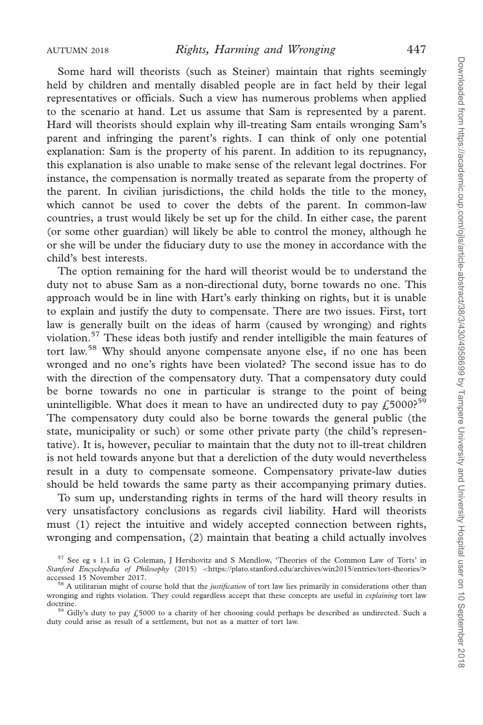Some hard will theorists (such as Steiner) maintain that rights seemingly held by children and mentally disabled people are in fact held by their legal representatives or officials. Such a view has numerous problems when applied to the scenario at hand. Let us assume that Sam is represented by a parent. Hard will theorists should explain why ill-treating Sam entails wronging Sam's parent and infringing the parent's rights. I can think of only one potential explanation: Sam is the property of his parent. In addition to its repugnancy, this explanation is also unable to make sense of the relevant legal doctrines. For instance, the compensation is normally treated as separate from the property of the parent. In civilian jurisdictions, the child holds the title to the money, which cannot be used to cover the debts of the parent. In common-law countries, a trust would likely be set up for the child. In either case, the parent (or some other guardian) will likely be able to control the money, although he or she will be under the fiduciary duty to use the money in accordance with the child's best interests.

The option remaining for the hard will theorist would be to understand the duty not to abuse Sam as a non-directional duty, borne towards no one. This approach would be in line with Hart's early thinking on rights, but it is unable to explain and justify the duty to compensate. There are two issues. First, tort law is generally built on the ideas of harm (caused by wronging) and rights violation.57 These ideas both justify and render intelligible the main features of tort law.<sup>58</sup> Why should anyone compensate anyone else, if no one has been wronged and no one's rights have been violated? The second issue has to do with the direction of the compensatory duty. That a compensatory duty could be borne towards no one in particular is strange to the point of being unintelligible. What does it mean to have an undirected duty to pay  $\frac{25000}{59}$ The compensatory duty could also be borne towards the general public (the state, municipality or such) or some other private party (the child's representative). It is, however, peculiar to maintain that the duty not to ill-treat children is not held towards anyone but that a dereliction of the duty would nevertheless result in a duty to compensate someone. Compensatory private-law duties should be held towards the same party as their accompanying primary duties.

To sum up, understanding rights in terms of the hard will theory results in very unsatisfactory conclusions as regards civil liability. Hard will theorists must (1) reject the intuitive and widely accepted connection between rights, wronging and compensation, (2) maintain that beating a child actually involves

<sup>57</sup> See eg s 1.1 in G Coleman, J Hershovitz and S Mendlow, 'Theories of the Common Law of Torts' in Stanford Encyclopedia of Philosophy (2015) <[https://plato.stanford.edu/archives/win2015/entries/tort-theories/>](https://plato.stanford.edu/archives/win2015/entries/tort-theories/)accessed 15 November 2017.

 $58$  A utilitarian might of course hold that the justification of tort law lies primarily in considerations other than wronging and rights violation. They could regardless accept that these concepts are useful in *explaining* tort law<br>doctrine.

 $59$  Gilly's duty to pay £5000 to a charity of her choosing could perhaps be described as undirected. Such a duty could arise as result of a settlement, but not as a matter of tort law.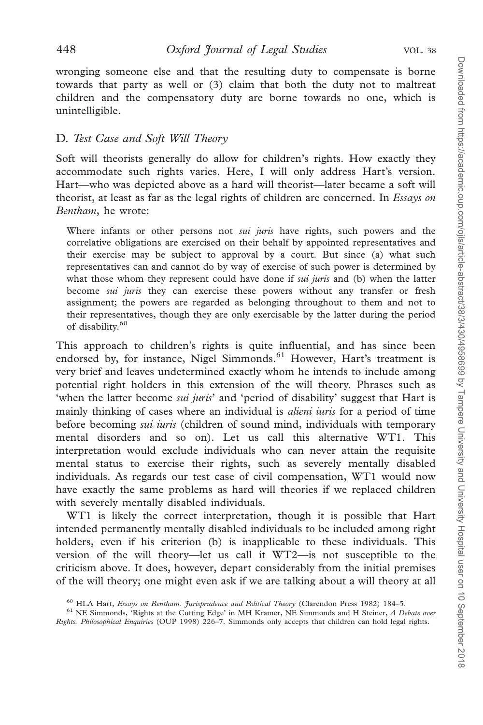wronging someone else and that the resulting duty to compensate is borne towards that party as well or (3) claim that both the duty not to maltreat children and the compensatory duty are borne towards no one, which is unintelligible.

## D. Test Case and Soft Will Theory

Soft will theorists generally do allow for children's rights. How exactly they accommodate such rights varies. Here, I will only address Hart's version. Hart—who was depicted above as a hard will theorist—later became a soft will theorist, at least as far as the legal rights of children are concerned. In Essays on Bentham, he wrote:

Where infants or other persons not *sui juris* have rights, such powers and the correlative obligations are exercised on their behalf by appointed representatives and their exercise may be subject to approval by a court. But since (a) what such representatives can and cannot do by way of exercise of such power is determined by what those whom they represent could have done if *sui juris* and (b) when the latter become sui juris they can exercise these powers without any transfer or fresh assignment; the powers are regarded as belonging throughout to them and not to their representatives, though they are only exercisable by the latter during the period of disability.<sup>60</sup>

This approach to children's rights is quite influential, and has since been endorsed by, for instance, Nigel Simmonds.<sup>61</sup> However, Hart's treatment is very brief and leaves undetermined exactly whom he intends to include among potential right holders in this extension of the will theory. Phrases such as 'when the latter become *sui juris'* and 'period of disability' suggest that Hart is mainly thinking of cases where an individual is *alieni iuris* for a period of time before becoming *sui iuris* (children of sound mind, individuals with temporary mental disorders and so on). Let us call this alternative WT1. This interpretation would exclude individuals who can never attain the requisite mental status to exercise their rights, such as severely mentally disabled individuals. As regards our test case of civil compensation, WT1 would now have exactly the same problems as hard will theories if we replaced children with severely mentally disabled individuals.

WT1 is likely the correct interpretation, though it is possible that Hart intended permanently mentally disabled individuals to be included among right holders, even if his criterion (b) is inapplicable to these individuals. This version of the will theory—let us call it WT2—is not susceptible to the criticism above. It does, however, depart considerably from the initial premises of the will theory; one might even ask if we are talking about a will theory at all

<sup>&</sup>lt;sup>60</sup> HLA Hart, *Essays on Bentham. Jurisprudence and Political Theory* (Clarendon Press 1982) 184–5.<br><sup>61</sup> NE Simmonds, 'Rights at the Cutting Edge' in MH Kramer, NE Simmonds and H Steiner, *A Debate over* 

Rights. Philosophical Enquiries (OUP 1998) 226–7. Simmonds only accepts that children can hold legal rights.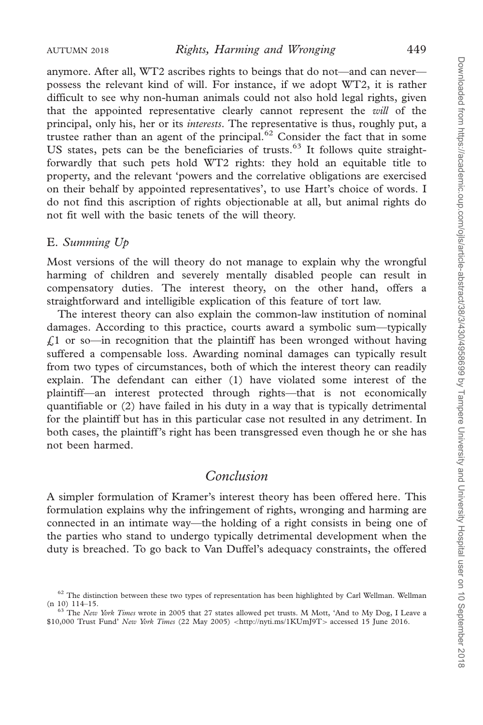anymore. After all, WT2 ascribes rights to beings that do not—and can never possess the relevant kind of will. For instance, if we adopt WT2, it is rather difficult to see why non-human animals could not also hold legal rights, given that the appointed representative clearly cannot represent the will of the principal, only his, her or its interests. The representative is thus, roughly put, a trustee rather than an agent of the principal.<sup>62</sup> Consider the fact that in some US states, pets can be the beneficiaries of trusts.<sup>63</sup> It follows quite straightforwardly that such pets hold WT2 rights: they hold an equitable title to property, and the relevant 'powers and the correlative obligations are exercised on their behalf by appointed representatives', to use Hart's choice of words. I do not find this ascription of rights objectionable at all, but animal rights do not fit well with the basic tenets of the will theory.

#### E. Summing Up

Most versions of the will theory do not manage to explain why the wrongful harming of children and severely mentally disabled people can result in compensatory duties. The interest theory, on the other hand, offers a straightforward and intelligible explication of this feature of tort law.

The interest theory can also explain the common-law institution of nominal damages. According to this practice, courts award a symbolic sum—typically  $f(1)$  or so—in recognition that the plaintiff has been wronged without having suffered a compensable loss. Awarding nominal damages can typically result from two types of circumstances, both of which the interest theory can readily explain. The defendant can either (1) have violated some interest of the plaintiff—an interest protected through rights—that is not economically quantifiable or (2) have failed in his duty in a way that is typically detrimental for the plaintiff but has in this particular case not resulted in any detriment. In both cases, the plaintiff's right has been transgressed even though he or she has not been harmed.

# Conclusion

A simpler formulation of Kramer's interest theory has been offered here. This formulation explains why the infringement of rights, wronging and harming are connected in an intimate way—the holding of a right consists in being one of the parties who stand to undergo typically detrimental development when the duty is breached. To go back to Van Duffel's adequacy constraints, the offered

<sup>&</sup>lt;sup>62</sup> The distinction between these two types of representation has been highlighted by Carl Wellman. Wellman (n 10)  $114-15$ .

 $63$  The New York Times wrote in 2005 that 27 states allowed pet trusts. M Mott, 'And to My Dog, I Leave a \$10,000 Trust Fund' New York Times (22 May 2005) <<http://nyti.ms/1KUmJ9T>> accessed 15 June 2016.